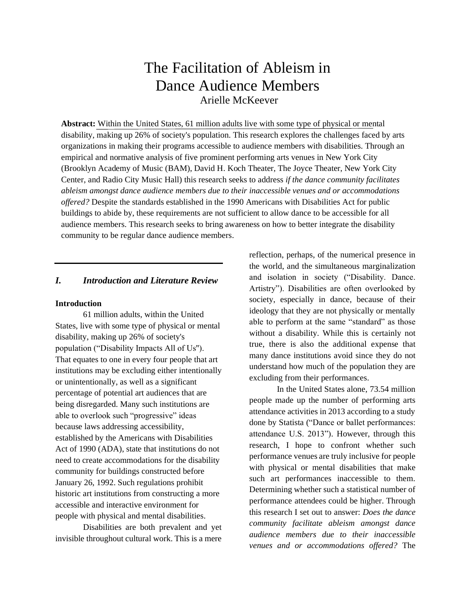# The Facilitation of Ableism in Dance Audience Members Arielle McKeever

**Abstract:** Within the United States, 61 million adults live with some type of physical or mental disability, making up 26% of society's population. This research explores the challenges faced by arts organizations in making their programs accessible to audience members with disabilities. Through an empirical and normative analysis of five prominent performing arts venues in New York City (Brooklyn Academy of Music (BAM), David H. Koch Theater, The Joyce Theater, New York City Center, and Radio City Music Hall) this research seeks to address *if the dance community facilitates ableism amongst dance audience members due to their inaccessible venues and or accommodations offered?* Despite the standards established in the 1990 Americans with Disabilities Act for public buildings to abide by, these requirements are not sufficient to allow dance to be accessible for all audience members. This research seeks to bring awareness on how to better integrate the disability community to be regular dance audience members.

## *I. Introduction and Literature Review*

#### **Introduction**

61 million adults, within the United States, live with some type of physical or mental disability, making up 26% of society's population ("Disability Impacts All of Us''). That equates to one in every four people that art institutions may be excluding either intentionally or unintentionally, as well as a significant percentage of potential art audiences that are being disregarded. Many such institutions are able to overlook such "progressive" ideas because laws addressing accessibility, established by the Americans with Disabilities Act of 1990 (ADA), state that institutions do not need to create accommodations for the disability community for buildings constructed before January 26, 1992. Such regulations prohibit historic art institutions from constructing a more accessible and interactive environment for people with physical and mental disabilities.

Disabilities are both prevalent and yet invisible throughout cultural work. This is a mere

reflection, perhaps, of the numerical presence in the world, and the simultaneous marginalization and isolation in society ("Disability. Dance. Artistry"). Disabilities are often overlooked by society, especially in dance, because of their ideology that they are not physically or mentally able to perform at the same "standard" as those without a disability. While this is certainly not true, there is also the additional expense that many dance institutions avoid since they do not understand how much of the population they are excluding from their performances.

In the United States alone, 73.54 million people made up the number of performing arts attendance activities in 2013 according to a study done by Statista ("Dance or ballet performances: attendance U.S. 2013"). However, through this research, I hope to confront whether such performance venues are truly inclusive for people with physical or mental disabilities that make such art performances inaccessible to them. Determining whether such a statistical number of performance attendees could be higher. Through this research I set out to answer: *Does the dance community facilitate ableism amongst dance audience members due to their inaccessible venues and or accommodations offered?* The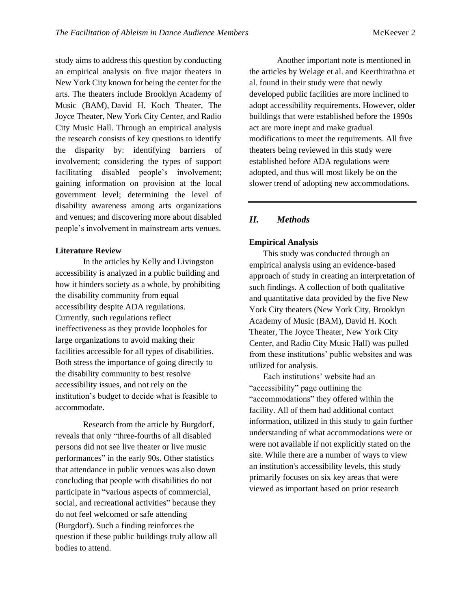study aims to address this question by conducting an empirical analysis on five major theaters in New York City known for being the center for the arts. The theaters include Brooklyn Academy of Music (BAM), David H. Koch Theater, The Joyce Theater, New York City Center, and Radio City Music Hall. Through an empirical analysis the research consists of key questions to identify the disparity by: identifying barriers of involvement; considering the types of support facilitating disabled people's involvement; gaining information on provision at the local government level; determining the level of disability awareness among arts organizations and venues; and discovering more about disabled people's involvement in mainstream arts venues.

## **Literature Review**

In the articles by Kelly and Livingston accessibility is analyzed in a public building and how it hinders society as a whole, by prohibiting the disability community from equal accessibility despite ADA regulations. Currently, such regulations reflect ineffectiveness as they provide loopholes for large organizations to avoid making their facilities accessible for all types of disabilities. Both stress the importance of going directly to the disability community to best resolve accessibility issues, and not rely on the institution's budget to decide what is feasible to accommodate.

Research from the article by Burgdorf, reveals that only "three-fourths of all disabled persons did not see live theater or live music performances" in the early 90s. Other statistics that attendance in public venues was also down concluding that people with disabilities do not participate in "various aspects of commercial, social, and recreational activities" because they do not feel welcomed or safe attending (Burgdorf). Such a finding reinforces the question if these public buildings truly allow all bodies to attend.

Another important note is mentioned in the articles by Welage et al. and Keerthirathna et al. found in their study were that newly developed public facilities are more inclined to adopt accessibility requirements. However, older buildings that were established before the 1990s act are more inept and make gradual modifications to meet the requirements. All five theaters being reviewed in this study were established before ADA regulations were adopted, and thus will most likely be on the slower trend of adopting new accommodations.

# *II. Methods*

#### **Empirical Analysis**

This study was conducted through an empirical analysis using an evidence-based approach of study in creating an interpretation of such findings. A collection of both qualitative and quantitative data provided by the five New York City theaters (New York City, Brooklyn Academy of Music (BAM), David H. Koch Theater, The Joyce Theater, New York City Center, and Radio City Music Hall) was pulled from these institutions' public websites and was utilized for analysis.

Each institutions' website had an "accessibility" page outlining the "accommodations" they offered within the facility. All of them had additional contact information, utilized in this study to gain further understanding of what accommodations were or were not available if not explicitly stated on the site. While there are a number of ways to view an institution's accessibility levels, this study primarily focuses on six key areas that were viewed as important based on prior research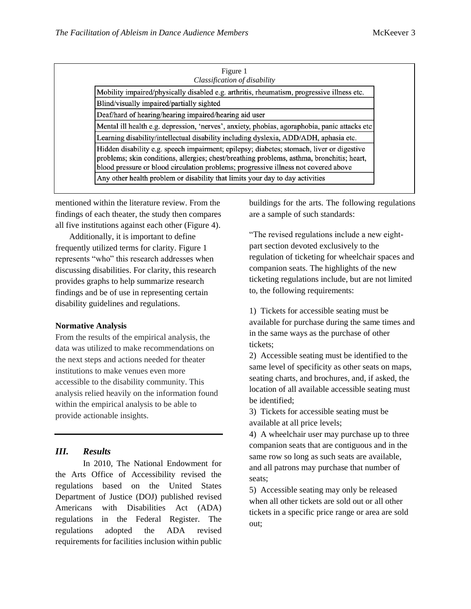| Figure 1<br>Classification of disability                                                                                                                                                                                                                                       |
|--------------------------------------------------------------------------------------------------------------------------------------------------------------------------------------------------------------------------------------------------------------------------------|
| Mobility impaired/physically disabled e.g. arthritis, rheumatism, progressive illness etc.                                                                                                                                                                                     |
| Blind/visually impaired/partially sighted                                                                                                                                                                                                                                      |
| Deaf/hard of hearing/hearing impaired/hearing aid user                                                                                                                                                                                                                         |
| Mental ill health e.g. depression, 'nerves', anxiety, phobias, agoraphobia, panic attacks etc                                                                                                                                                                                  |
| Learning disability/intellectual disability including dyslexia, ADD/ADH, aphasia etc.                                                                                                                                                                                          |
| Hidden disability e.g. speech impairment; epilepsy; diabetes; stomach, liver or digestive<br>problems; skin conditions, allergies; chest/breathing problems, asthma, bronchitis; heart,<br>blood pressure or blood circulation problems; progressive illness not covered above |
| Any other health problem or disability that limits your day to day activities                                                                                                                                                                                                  |

mentioned within the literature review. From the findings of each theater, the study then compares all five institutions against each other (Figure 4).

Additionally, it is important to define frequently utilized terms for clarity. Figure 1 represents "who" this research addresses when discussing disabilities. For clarity, this research provides graphs to help summarize research findings and be of use in representing certain disability guidelines and regulations.

#### **Normative Analysis**

From the results of the empirical analysis, the data was utilized to make recommendations on the next steps and actions needed for theater institutions to make venues even more accessible to the disability community. This analysis relied heavily on the information found within the empirical analysis to be able to provide actionable insights.

#### *III. Results*

In 2010, The National Endowment for the Arts Office of Accessibility revised the regulations based on the United States Department of Justice (DOJ) published revised Americans with Disabilities Act (ADA) regulations in the Federal Register. The regulations adopted the ADA revised requirements for facilities inclusion within public

buildings for the arts. The following regulations are a sample of such standards:

"The revised regulations include a new eightpart section devoted exclusively to the regulation of ticketing for wheelchair spaces and companion seats. The highlights of the new ticketing regulations include, but are not limited to, the following requirements:

1) Tickets for accessible seating must be available for purchase during the same times and in the same ways as the purchase of other tickets;

2) Accessible seating must be identified to the same level of specificity as other seats on maps, seating charts, and brochures, and, if asked, the location of all available accessible seating must be identified;

3) Tickets for accessible seating must be available at all price levels;

4) A wheelchair user may purchase up to three companion seats that are contiguous and in the same row so long as such seats are available, and all patrons may purchase that number of seats;

5) Accessible seating may only be released when all other tickets are sold out or all other tickets in a specific price range or area are sold out;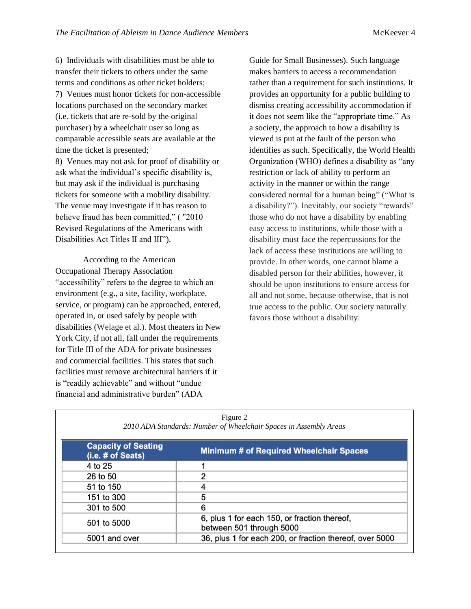6) Individuals with disabilities must be able to transfer their tickets to others under the same terms and conditions as other ticket holders; 7) Venues must honor tickets for non-accessible locations purchased on the secondary market (i.e. tickets that are re-sold by the original purchaser) by a wheelchair user so long as comparable accessible seats are available at the time the ticket is presented; 8) Venues may not ask for proof of disability or ask what the individual's specific disability is, but may ask if the individual is purchasing tickets for someone with a mobility disability. The venue may investigate if it has reason to believe fraud has been committed," ( "2010 Revised Regulations of the Americans with Disabilities Act Titles II and III").

According to the American Occupational Therapy Association "accessibility" refers to the degree to which an environment (e.g., a site, facility, workplace, service, or program) can be approached, entered, operated in, or used safely by people with disabilities (Welage et al.). Most theaters in New York City, if not all, fall under the requirements for Title III of the ADA for private businesses and commercial facilities. This states that such facilities must remove architectural barriers if it is "readily achievable" and without "undue financial and administrative burden" (ADA

Guide for Small Businesses). Such language makes barriers to access a recommendation rather than a requirement for such institutions. It provides an opportunity for a public building to dismiss creating accessibility accommodation if it does not seem like the "appropriate time." As a society, the approach to how a disability is viewed is put at the fault of the person who identifies as such. Specifically, the World Health Organization (WHO) defines a disability as "any restriction or lack of ability to perform an activity in the manner or within the range considered normal for a human being" ("What is a disability?"). Inevitably, our society "rewards" those who do not have a disability by enabling easy access to institutions, while those with a disability must face the repercussions for the lack of access these institutions are willing to provide. In other words, one cannot blame a disabled person for their abilities, however, it should be upon institutions to ensure access for all and not some, because otherwise, that is not true access to the public. Our society naturally favors those without a disability.

| Figure 2<br>2010 ADA Standards: Number of Wheelchair Spaces in Assembly Areas |                                                                          |  |  |  |  |  |  |
|-------------------------------------------------------------------------------|--------------------------------------------------------------------------|--|--|--|--|--|--|
| <b>Capacity of Seating</b><br>(i.e. # of Seats)                               | <b>Minimum # of Required Wheelchair Spaces</b>                           |  |  |  |  |  |  |
| 4 to 25                                                                       |                                                                          |  |  |  |  |  |  |
| 26 to 50                                                                      | 2                                                                        |  |  |  |  |  |  |
| 51 to 150                                                                     | 4                                                                        |  |  |  |  |  |  |
| 151 to 300                                                                    | 5                                                                        |  |  |  |  |  |  |
| 301 to 500                                                                    | 6                                                                        |  |  |  |  |  |  |
| 501 to 5000                                                                   | 6, plus 1 for each 150, or fraction thereof,<br>between 501 through 5000 |  |  |  |  |  |  |
| 5001 and over                                                                 | 36, plus 1 for each 200, or fraction thereof, over 5000                  |  |  |  |  |  |  |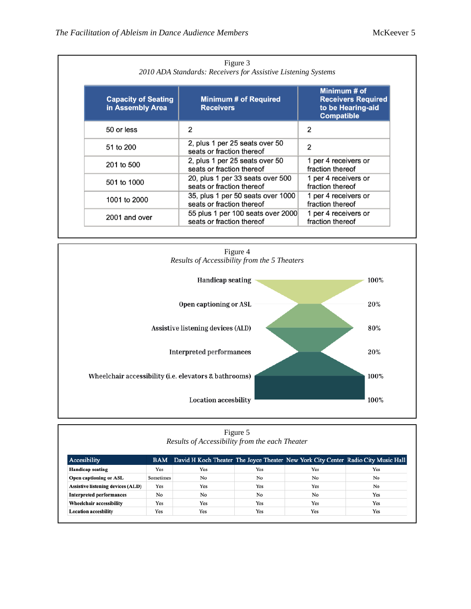| Figure 3<br>2010 ADA Standards: Receivers for Assistive Listening Systems |                                                                |                                                                                     |  |  |  |  |  |
|---------------------------------------------------------------------------|----------------------------------------------------------------|-------------------------------------------------------------------------------------|--|--|--|--|--|
| <b>Capacity of Seating</b><br>in Assembly Area                            | <b>Minimum # of Required</b><br><b>Receivers</b>               | Minimum # of<br><b>Receivers Required</b><br>to be Hearing-aid<br><b>Compatible</b> |  |  |  |  |  |
| 50 or less                                                                | 2                                                              | 2                                                                                   |  |  |  |  |  |
| 51 to 200                                                                 | 2, plus 1 per 25 seats over 50<br>seats or fraction thereof    | 2                                                                                   |  |  |  |  |  |
| 201 to 500                                                                | 2, plus 1 per 25 seats over 50<br>seats or fraction thereof    | 1 per 4 receivers or<br>fraction thereof                                            |  |  |  |  |  |
| 501 to 1000                                                               | 20, plus 1 per 33 seats over 500<br>seats or fraction thereof  | 1 per 4 receivers or<br>fraction thereof                                            |  |  |  |  |  |
| 1001 to 2000                                                              | 35, plus 1 per 50 seats over 1000<br>seats or fraction thereof | 1 per 4 receivers or<br>fraction thereof                                            |  |  |  |  |  |
| 2001 and over                                                             | 55 plus 1 per 100 seats over 2000<br>seats or fraction thereof | 1 per 4 receivers or<br>fraction thereof                                            |  |  |  |  |  |



| Figure 5<br>Results of Accessibility from the each Theater |           |                                                                                       |     |     |     |  |  |  |
|------------------------------------------------------------|-----------|---------------------------------------------------------------------------------------|-----|-----|-----|--|--|--|
| Accesibility                                               |           | BAM David H Koch Theater The Joyce Theater New York City Center Radio City Music Hall |     |     |     |  |  |  |
| <b>Handicap seating</b>                                    | Yes       | Yes                                                                                   | Yes | Yes | Yes |  |  |  |
| <b>Open captioning or ASL</b>                              | Sometimes | No                                                                                    | No  | No  | No  |  |  |  |
| <b>Assistive listening devices (ALD)</b>                   | Yes       | Yes                                                                                   | Yes | Yes | No  |  |  |  |
| <b>Interpreted performances</b>                            | No        | No                                                                                    | No  | No  | Yes |  |  |  |
| Wheelchair accessibility                                   | Yes       | Yes                                                                                   | Yes | Yes | Yes |  |  |  |
| <b>Location accesbility</b>                                | Yes       | Yes                                                                                   | Yes | Yes | Yes |  |  |  |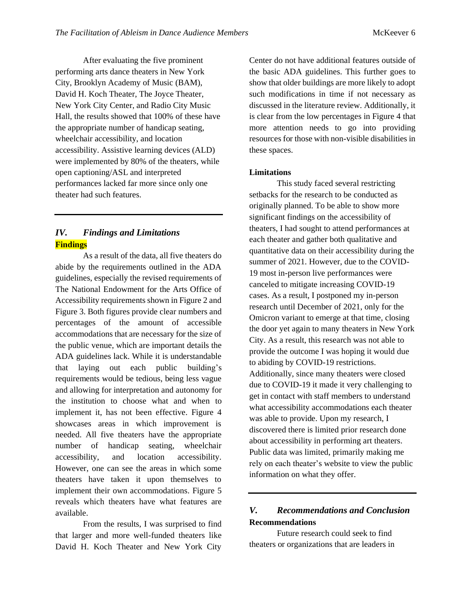After evaluating the five prominent performing arts dance theaters in New York City, Brooklyn Academy of Music (BAM), David H. Koch Theater, The Joyce Theater, New York City Center, and Radio City Music Hall, the results showed that 100% of these have the appropriate number of handicap seating, wheelchair accessibility, and location accessibility. Assistive learning devices (ALD) were implemented by 80% of the theaters, while open captioning/ASL and interpreted performances lacked far more since only one theater had such features.

# *IV. Findings and Limitations* **Findings**

As a result of the data, all five theaters do abide by the requirements outlined in the ADA guidelines, especially the revised requirements of The National Endowment for the Arts Office of Accessibility requirements shown in Figure 2 and Figure 3. Both figures provide clear numbers and percentages of the amount of accessible accommodations that are necessary for the size of the public venue, which are important details the ADA guidelines lack. While it is understandable that laying out each public building's requirements would be tedious, being less vague and allowing for interpretation and autonomy for the institution to choose what and when to implement it, has not been effective. Figure 4 showcases areas in which improvement is needed. All five theaters have the appropriate number of handicap seating, wheelchair accessibility, and location accessibility. However, one can see the areas in which some theaters have taken it upon themselves to implement their own accommodations. Figure 5 reveals which theaters have what features are available.

From the results, I was surprised to find that larger and more well-funded theaters like David H. Koch Theater and New York City

Center do not have additional features outside of the basic ADA guidelines. This further goes to show that older buildings are more likely to adopt such modifications in time if not necessary as discussed in the literature review. Additionally, it is clear from the low percentages in Figure 4 that more attention needs to go into providing resources for those with non-visible disabilities in these spaces.

## **Limitations**

This study faced several restricting setbacks for the research to be conducted as originally planned. To be able to show more significant findings on the accessibility of theaters, I had sought to attend performances at each theater and gather both qualitative and quantitative data on their accessibility during the summer of 2021. However, due to the COVID-19 most in-person live performances were canceled to mitigate increasing COVID-19 cases. As a result, I postponed my in-person research until December of 2021, only for the Omicron variant to emerge at that time, closing the door yet again to many theaters in New York City. As a result, this research was not able to provide the outcome I was hoping it would due to abiding by COVID-19 restrictions. Additionally, since many theaters were closed due to COVID-19 it made it very challenging to get in contact with staff members to understand what accessibility accommodations each theater was able to provide. Upon my research, I discovered there is limited prior research done about accessibility in performing art theaters. Public data was limited, primarily making me rely on each theater's website to view the public information on what they offer.

# *V. Recommendations and Conclusion* **Recommendations**

Future research could seek to find theaters or organizations that are leaders in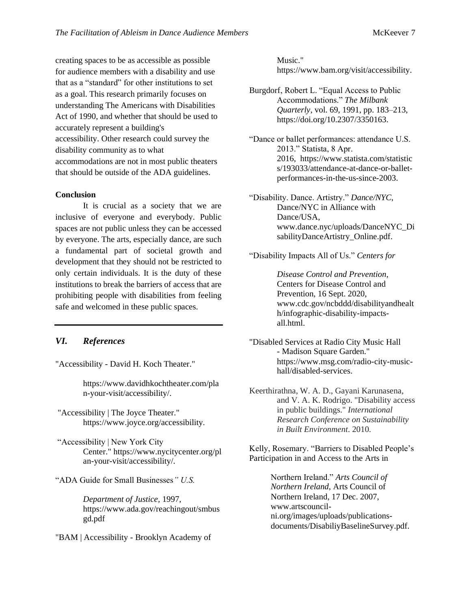creating spaces to be as accessible as possible for audience members with a disability and use that as a "standard" for other institutions to set as a goal. This research primarily focuses on understanding The Americans with Disabilities Act of 1990, and whether that should be used to accurately represent a building's accessibility. Other research could survey the disability community as to what accommodations are not in most public theaters that should be outside of the ADA guidelines.

## **Conclusion**

It is crucial as a society that we are inclusive of everyone and everybody. Public spaces are not public unless they can be accessed by everyone. The arts, especially dance, are such a fundamental part of societal growth and development that they should not be restricted to only certain individuals. It is the duty of these institutions to break the barriers of access that are prohibiting people with disabilities from feeling safe and welcomed in these public spaces.

## *VI. References*

"Accessibility - David H. Koch Theater."

https://www.davidhkochtheater.com/pla n-your-visit/accessibility/.

"Accessibility | The Joyce Theater." [https://www.joyce.org/accessibility.](https://www.joyce.org/accessibility)

- "Accessibility | New York City Center." https://www.nycitycenter.org/pl an-your-visit/accessibility/.
- "ADA Guide for Small Businesses*" U.S.*

*Department of Justice,* 1997, https://www.ada.gov/reachingout/smbus gd.pdf

"BAM | Accessibility - Brooklyn Academy of

Music." [https://www.bam.org/visit/accessibility.](https://www.bam.org/visit/accessibility)

- Burgdorf, Robert L. "Equal Access to Public Accommodations." *The Milbank Quarterly*, vol. 69, 1991, pp. 183–213, https://doi.org/10.2307/3350163.
- "Dance or ballet performances: attendance U.S. 2013." Statista, 8 Apr. 2016, https://www.statista.com/statistic s/193033/attendance-at-dance-or-balletperformances-in-the-us-since-2003.
- "Disability. Dance. Artistry." *Dance/NYC*, Dance/NYC in Alliance with Dance/USA, www.dance.nyc/uploads/DanceNYC\_Di sabilityDanceArtistry\_Online.pdf.
- "Disability Impacts All of Us." *Centers for*

*Disease Control and Prevention*, Centers for Disease Control and Prevention, 16 Sept. 2020, [www.cdc.gov/ncbddd/disabilityandhealt](http://www.cdc.gov/ncbddd/disabilityandhealth/infographic-disability-impacts-all.html) [h/infographic-disability-impacts](http://www.cdc.gov/ncbddd/disabilityandhealth/infographic-disability-impacts-all.html)[all.html.](http://www.cdc.gov/ncbddd/disabilityandhealth/infographic-disability-impacts-all.html)

- "Disabled Services at Radio City Music Hall - Madison Square Garden." https://www.msg.com/radio-city-musichall/disabled-services.
- Keerthirathna, W. A. D., Gayani Karunasena, and V. A. K. Rodrigo. "Disability access in public buildings." *International Research Conference on Sustainability in Built Environment*. 2010.

Kelly, Rosemary. "Barriers to Disabled People's Participation in and Access to the Arts in

> Northern Ireland." *Arts Council of Northern Ireland*, Arts Council of Northern Ireland, 17 Dec. 2007, www.artscouncilni.org/images/uploads/publicationsdocuments/DisabiliyBaselineSurvey.pdf.